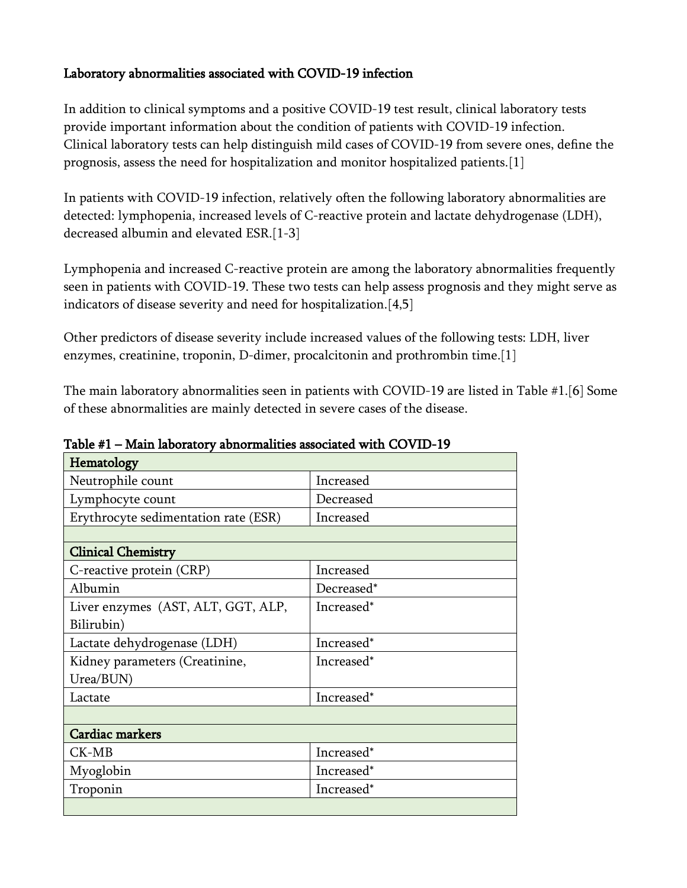## Laboratory abnormalities associated with COVID-19 infection

In addition to clinical symptoms and a positive COVID-19 test result, clinical laboratory tests provide important information about the condition of patients with COVID-19 infection. Clinical laboratory tests can help distinguish mild cases of COVID-19 from severe ones, define the prognosis, assess the need for hospitalization and monitor hospitalized patients.[1]

In patients with COVID-19 infection, relatively often the following laboratory abnormalities are detected: lymphopenia, increased levels of C-reactive protein and lactate dehydrogenase (LDH), decreased albumin and elevated ESR.[1-3]

Lymphopenia and increased C-reactive protein are among the laboratory abnormalities frequently seen in patients with COVID-19. These two tests can help assess prognosis and they might serve as indicators of disease severity and need for hospitalization.[4,5]

Other predictors of disease severity include increased values of the following tests: LDH, liver enzymes, creatinine, troponin, D-dimer, procalcitonin and prothrombin time.[1]

The main laboratory abnormalities seen in patients with COVID-19 are listed in Table #1.[6] Some of these abnormalities are mainly detected in severe cases of the disease.

| Hematology                           |            |
|--------------------------------------|------------|
| Neutrophile count                    | Increased  |
| Lymphocyte count                     | Decreased  |
| Erythrocyte sedimentation rate (ESR) | Increased  |
|                                      |            |
| <b>Clinical Chemistry</b>            |            |
| C-reactive protein (CRP)             | Increased  |
| Albumin                              | Decreased* |
| Liver enzymes (AST, ALT, GGT, ALP,   | Increased* |
| Bilirubin)                           |            |
| Lactate dehydrogenase (LDH)          | Increased* |
| Kidney parameters (Creatinine,       | Increased* |
| Urea/BUN)                            |            |
| Lactate                              | Increased* |
|                                      |            |
| <b>Cardiac markers</b>               |            |
| $CK-MB$                              | Increased* |
| Myoglobin                            | Increased* |
| Troponin                             | Increased* |
|                                      |            |

Table #1 – Main laboratory abnormalities associated with COVID-19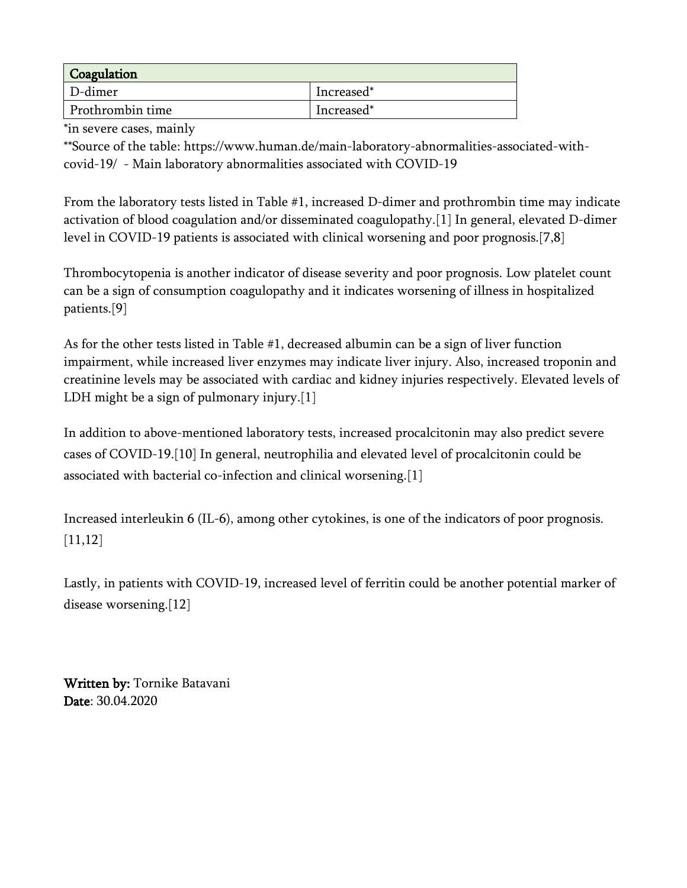| Coagulation      |            |
|------------------|------------|
| D-dimer          | Increased* |
| Prothrombin time | Increased* |

\*in severe cases, mainly

\*\*Source of the table: https://www.human.de/main-laboratory-abnormalities-associated-withcovid-19/ - Main laboratory abnormalities associated with COVID-19

From the laboratory tests listed in Table #1, increased D-dimer and prothrombin time may indicate activation of blood coagulation and/or disseminated coagulopathy.[1] In general, elevated D-dimer level in COVID-19 patients is associated with clinical worsening and poor prognosis.[7,8]

Thrombocytopenia is another indicator of disease severity and poor prognosis. Low platelet count can be a sign of consumption coagulopathy and it indicates worsening of illness in hospitalized patients.[9]

As for the other tests listed in Table #1, decreased albumin can be a sign of liver function impairment, while increased liver enzymes may indicate liver injury. Also, increased troponin and creatinine levels may be associated with cardiac and kidney injuries respectively. Elevated levels of LDH might be a sign of pulmonary injury.[1]

In addition to above-mentioned laboratory tests, increased procalcitonin may also predict severe cases of COVID-19.[10] In general, neutrophilia and elevated level of procalcitonin could be associated with bacterial co-infection and clinical worsening.[1]

Increased interleukin 6 (IL-6), among other cytokines, is one of the indicators of poor prognosis. [11,12]

Lastly, in patients with COVID-19, increased level of ferritin could be another potential marker of disease worsening.<sup>[12]</sup>

Written by: Tornike Batavani Date: 30.04.2020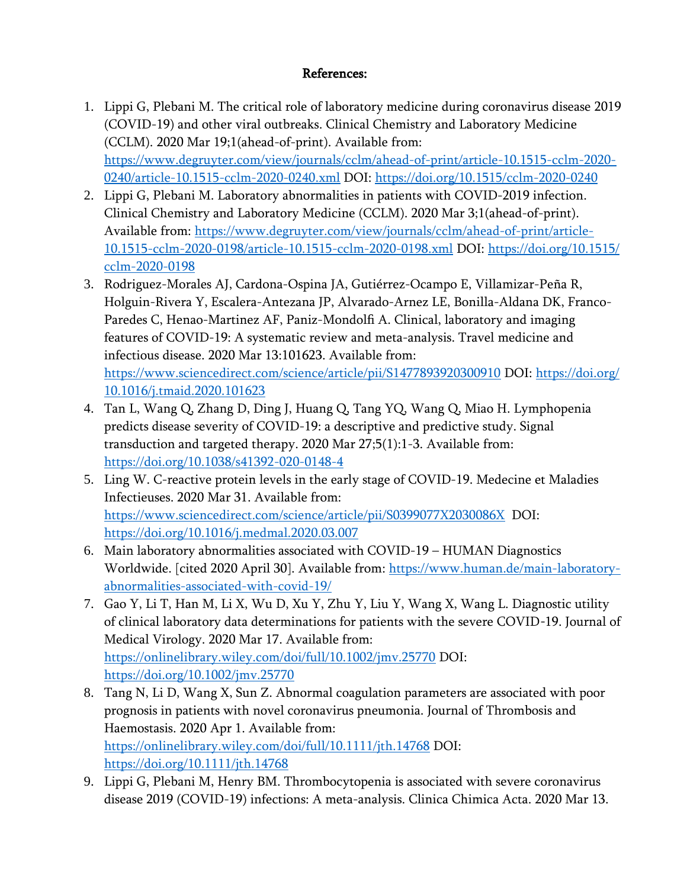## References:

- 1. Lippi G, Plebani M. The critical role of laboratory medicine during coronavirus disease 2019 (COVID-19) and other viral outbreaks. Clinical Chemistry and Laboratory Medicine (CCLM). 2020 Mar 19;1(ahead-of-print). Available from: [https://www.degruyter.com/view/journals/cclm/ahead-of-print/article-10.1515-cclm-2020-](https://www.degruyter.com/view/journals/cclm/ahead-of-print/article-10.1515-cclm-2020-0240/article-10.1515-cclm-2020-0240.xml) [0240/article-10.1515-cclm-2020-0240.xml](https://www.degruyter.com/view/journals/cclm/ahead-of-print/article-10.1515-cclm-2020-0240/article-10.1515-cclm-2020-0240.xml) DOI:<https://doi.org/10.1515/cclm-2020-0240>
- 2. Lippi G, Plebani M. Laboratory abnormalities in patients with COVID-2019 infection. Clinical Chemistry and Laboratory Medicine (CCLM). 2020 Mar 3;1(ahead-of-print). Available from: [https://www.degruyter.com/view/journals/cclm/ahead-of-print/article-](https://www.degruyter.com/view/journals/cclm/ahead-of-print/article-10.1515-cclm-2020-0198/article-10.1515-cclm-2020-0198.xml)[10.1515-cclm-2020-0198/article-10.1515-cclm-2020-0198.xml](https://www.degruyter.com/view/journals/cclm/ahead-of-print/article-10.1515-cclm-2020-0198/article-10.1515-cclm-2020-0198.xml) DOI: [https://doi.org/10.1515/](https://doi.org/10.1515/cclm-2020-0198) [cclm-2020-0198](https://doi.org/10.1515/cclm-2020-0198)
- 3. Rodriguez-Morales AJ, Cardona-Ospina JA, Gutiérrez-Ocampo E, Villamizar-Peña R, Holguin-Rivera Y, Escalera-Antezana JP, Alvarado-Arnez LE, Bonilla-Aldana DK, Franco-Paredes C, Henao-Martinez AF, Paniz-Mondolfi A. Clinical, laboratory and imaging features of COVID-19: A systematic review and meta-analysis. Travel medicine and infectious disease. 2020 Mar 13:101623. Available from: <https://www.sciencedirect.com/science/article/pii/S1477893920300910>DOI: [https://doi.org/](https://doi.org/10.1016/j.tmaid.2020.101623) [10.1016/j.tmaid.2020.101623](https://doi.org/10.1016/j.tmaid.2020.101623)
- 4. Tan L, Wang Q, Zhang D, Ding J, Huang Q, Tang YQ, Wang Q, Miao H. Lymphopenia predicts disease severity of COVID-19: a descriptive and predictive study. Signal transduction and targeted therapy. 2020 Mar 27;5(1):1-3. Available from: <https://doi.org/10.1038/s41392-020-0148-4>
- 5. Ling W. C-reactive protein levels in the early stage of COVID-19. Medecine et Maladies Infectieuses. 2020 Mar 31. Available from: <https://www.sciencedirect.com/science/article/pii/S0399077X2030086X> DOI: <https://doi.org/10.1016/j.medmal.2020.03.007>
- 6. Main laboratory abnormalities associated with COVID-19 HUMAN Diagnostics Worldwide. [cited 2020 April 30]. Available from: [https://www.human.de/main-laboratory](https://www.human.de/main-laboratory-abnormalities-associated-with-covid-19/)[abnormalities-associated-with-covid-19/](https://www.human.de/main-laboratory-abnormalities-associated-with-covid-19/)
- 7. Gao Y, Li T, Han M, Li X, Wu D, Xu Y, Zhu Y, Liu Y, Wang X, Wang L. Diagnostic utility of clinical laboratory data determinations for patients with the severe COVID 19. Journal of ‐ Medical Virology. 2020 Mar 17. Available from: <https://onlinelibrary.wiley.com/doi/full/10.1002/jmv.25770>DOI: <https://doi.org/10.1002/jmv.25770>
- 8. Tang N, Li D, Wang X, Sun Z. Abnormal coagulation parameters are associated with poor prognosis in patients with novel coronavirus pneumonia. Journal of Thrombosis and Haemostasis. 2020 Apr 1. Available from: <https://onlinelibrary.wiley.com/doi/full/10.1111/jth.14768> DOI: <https://doi.org/10.1111/jth.14768>
- 9. Lippi G, Plebani M, Henry BM. Thrombocytopenia is associated with severe coronavirus disease 2019 (COVID-19) infections: A meta-analysis. Clinica Chimica Acta. 2020 Mar 13.